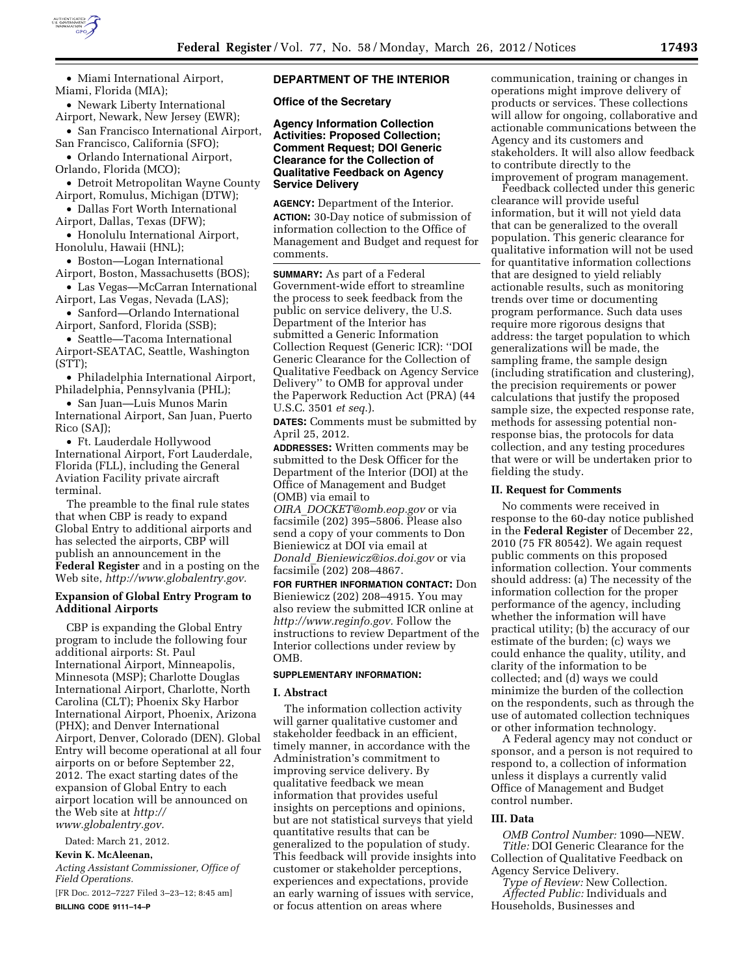

• Miami International Airport, Miami, Florida (MIA);

• Newark Liberty International Airport, Newark, New Jersey (EWR);

• San Francisco International Airport, San Francisco, California (SFO);

• Orlando International Airport, Orlando, Florida (MCO);

• Detroit Metropolitan Wayne County Airport, Romulus, Michigan (DTW);

• Dallas Fort Worth International Airport, Dallas, Texas (DFW);

• Honolulu International Airport, Honolulu, Hawaii (HNL);

• Boston—Logan International Airport, Boston, Massachusetts (BOS);

• Las Vegas—McCarran International Airport, Las Vegas, Nevada (LAS);

• Sanford—Orlando International Airport, Sanford, Florida (SSB);

• Seattle—Tacoma International Airport-SEATAC, Seattle, Washington (STT);

• Philadelphia International Airport, Philadelphia, Pennsylvania (PHL);

• San Juan—Luis Munos Marin International Airport, San Juan, Puerto Rico (SAJ);

• Ft. Lauderdale Hollywood International Airport, Fort Lauderdale, Florida (FLL), including the General Aviation Facility private aircraft terminal.

The preamble to the final rule states that when CBP is ready to expand Global Entry to additional airports and has selected the airports, CBP will publish an announcement in the **Federal Register** and in a posting on the Web site, *[http://www.globalentry.gov.](http://www.globalentry.gov)* 

## **Expansion of Global Entry Program to Additional Airports**

CBP is expanding the Global Entry program to include the following four additional airports: St. Paul International Airport, Minneapolis, Minnesota (MSP); Charlotte Douglas International Airport, Charlotte, North Carolina (CLT); Phoenix Sky Harbor International Airport, Phoenix, Arizona (PHX); and Denver International Airport, Denver, Colorado (DEN). Global Entry will become operational at all four airports on or before September 22, 2012. The exact starting dates of the expansion of Global Entry to each airport location will be announced on the Web site at *[http://](http://www.globalentry.gov)  [www.globalentry.gov.](http://www.globalentry.gov)* 

Dated: March 21, 2012. **Kevin K. McAleenan,** 

*Acting Assistant Commissioner, Office of Field Operations.* 

[FR Doc. 2012–7227 Filed 3–23–12; 8:45 am] **BILLING CODE 9111–14–P** 

# **DEPARTMENT OF THE INTERIOR**

**Office of the Secretary** 

**Agency Information Collection Activities: Proposed Collection; Comment Request; DOI Generic Clearance for the Collection of Qualitative Feedback on Agency Service Delivery** 

**AGENCY:** Department of the Interior. **ACTION:** 30-Day notice of submission of information collection to the Office of Management and Budget and request for comments.

**SUMMARY:** As part of a Federal Government-wide effort to streamline the process to seek feedback from the public on service delivery, the U.S. Department of the Interior has submitted a Generic Information Collection Request (Generic ICR): ''DOI Generic Clearance for the Collection of Qualitative Feedback on Agency Service Delivery'' to OMB for approval under the Paperwork Reduction Act (PRA) (44 U.S.C. 3501 *et seq*.).

**DATES:** Comments must be submitted by April 25, 2012.

**ADDRESSES:** Written comments may be submitted to the Desk Officer for the Department of the Interior (DOI) at the Office of Management and Budget (OMB) via email to

*OIRA*\_*[DOCKET@omb.eop.gov](mailto:OIRA_DOCKET@omb.eop.gov)* or via facsimile (202) 395–5806. Please also send a copy of your comments to Don Bieniewicz at DOI via email at *Donald*\_*[Bieniewicz@ios.doi.gov](mailto:Donald_Bieniewicz@ios.doi.gov)* or via facsimile (202) 208–4867.

**FOR FURTHER INFORMATION CONTACT:** Don Bieniewicz (202) 208–4915. You may also review the submitted ICR online at *[http://www.reginfo.gov.](http://www.reginfo.gov)* Follow the instructions to review Department of the Interior collections under review by OMB.

### **SUPPLEMENTARY INFORMATION:**

### **I. Abstract**

The information collection activity will garner qualitative customer and stakeholder feedback in an efficient, timely manner, in accordance with the Administration's commitment to improving service delivery. By qualitative feedback we mean information that provides useful insights on perceptions and opinions, but are not statistical surveys that yield quantitative results that can be generalized to the population of study. This feedback will provide insights into customer or stakeholder perceptions, experiences and expectations, provide an early warning of issues with service, or focus attention on areas where

communication, training or changes in operations might improve delivery of products or services. These collections will allow for ongoing, collaborative and actionable communications between the Agency and its customers and stakeholders. It will also allow feedback to contribute directly to the improvement of program management.

Feedback collected under this generic clearance will provide useful information, but it will not yield data that can be generalized to the overall population. This generic clearance for qualitative information will not be used for quantitative information collections that are designed to yield reliably actionable results, such as monitoring trends over time or documenting program performance. Such data uses require more rigorous designs that address: the target population to which generalizations will be made, the sampling frame, the sample design (including stratification and clustering), the precision requirements or power calculations that justify the proposed sample size, the expected response rate, methods for assessing potential nonresponse bias, the protocols for data collection, and any testing procedures that were or will be undertaken prior to fielding the study.

### **II. Request for Comments**

No comments were received in response to the 60-day notice published in the **Federal Register** of December 22, 2010 (75 FR 80542). We again request public comments on this proposed information collection. Your comments should address: (a) The necessity of the information collection for the proper performance of the agency, including whether the information will have practical utility; (b) the accuracy of our estimate of the burden; (c) ways we could enhance the quality, utility, and clarity of the information to be collected; and (d) ways we could minimize the burden of the collection on the respondents, such as through the use of automated collection techniques or other information technology.

A Federal agency may not conduct or sponsor, and a person is not required to respond to, a collection of information unless it displays a currently valid Office of Management and Budget control number.

### **III. Data**

*OMB Control Number:* 1090—NEW. *Title:* DOI Generic Clearance for the Collection of Qualitative Feedback on Agency Service Delivery.

*Type of Review:* New Collection. *Affected Public:* Individuals and Households, Businesses and